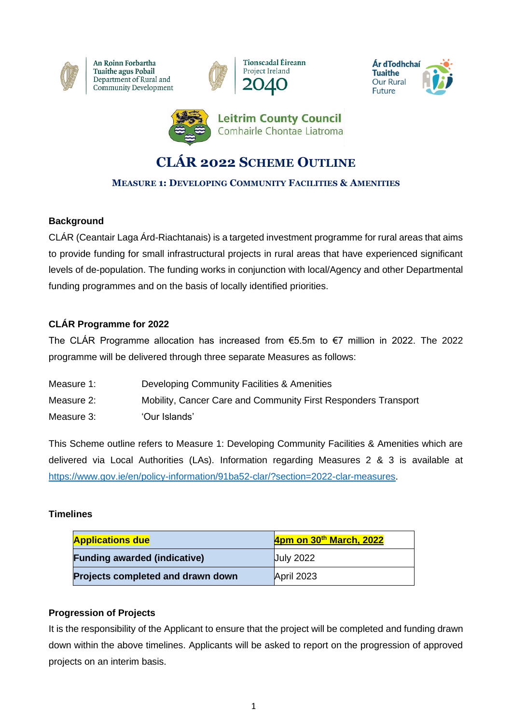

An Roinn Forbartha Tuaithe agus Pobail Department of Rural and Community Development







# **CLÁR 2022 SCHEME OUTLINE**

## **MEASURE 1: DEVELOPING COMMUNITY FACILITIES & AMENITIES**

## **Background**

CLÁR (Ceantair Laga Árd-Riachtanais) is a targeted investment programme for rural areas that aims to provide funding for small infrastructural projects in rural areas that have experienced significant levels of de-population. The funding works in conjunction with local/Agency and other Departmental funding programmes and on the basis of locally identified priorities.

#### **CLÁR Programme for 2022**

The CLÁR Programme allocation has increased from €5.5m to €7 million in 2022. The 2022 programme will be delivered through three separate Measures as follows:

| Measure 1: | Developing Community Facilities & Amenities                    |
|------------|----------------------------------------------------------------|
| Measure 2: | Mobility, Cancer Care and Community First Responders Transport |
| Measure 3: | 'Our Islands'                                                  |

This Scheme outline refers to Measure 1: Developing Community Facilities & Amenities which are delivered via Local Authorities (LAs). Information regarding Measures 2 & 3 is available at [https://www.gov.ie/en/policy-information/91ba52-clar/?section=2022-clar-measures.](https://www.gov.ie/en/policy-information/91ba52-clar/?section=2022-clar-measures)

#### **Timelines**

| <b>Applications due</b>             | 4pm on 30th March, 2022 |
|-------------------------------------|-------------------------|
| <b>Funding awarded (indicative)</b> | <b>July 2022</b>        |
| Projects completed and drawn down   | April 2023              |

#### **Progression of Projects**

It is the responsibility of the Applicant to ensure that the project will be completed and funding drawn down within the above timelines. Applicants will be asked to report on the progression of approved projects on an interim basis.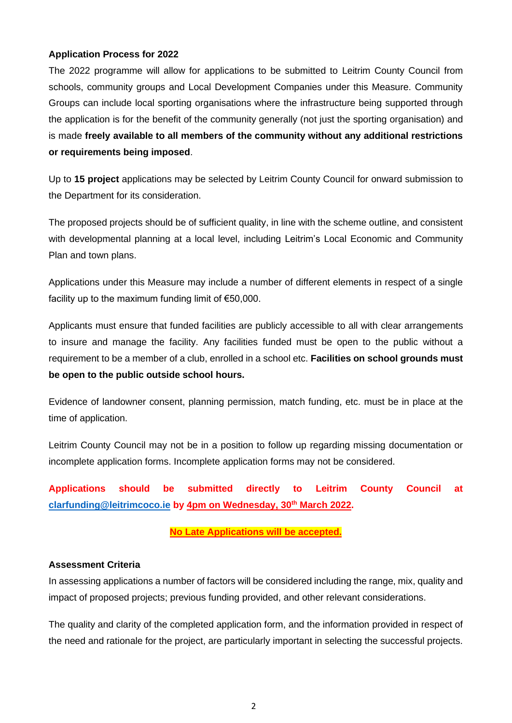#### **Application Process for 2022**

The 2022 programme will allow for applications to be submitted to Leitrim County Council from schools, community groups and Local Development Companies under this Measure. Community Groups can include local sporting organisations where the infrastructure being supported through the application is for the benefit of the community generally (not just the sporting organisation) and is made **freely available to all members of the community without any additional restrictions or requirements being imposed**.

Up to **15 project** applications may be selected by Leitrim County Council for onward submission to the Department for its consideration.

The proposed projects should be of sufficient quality, in line with the scheme outline, and consistent with developmental planning at a local level, including Leitrim's Local Economic and Community Plan and town plans.

Applications under this Measure may include a number of different elements in respect of a single facility up to the maximum funding limit of  $€50,000$ .

Applicants must ensure that funded facilities are publicly accessible to all with clear arrangements to insure and manage the facility. Any facilities funded must be open to the public without a requirement to be a member of a club, enrolled in a school etc. **Facilities on school grounds must be open to the public outside school hours.**

Evidence of landowner consent, planning permission, match funding, etc. must be in place at the time of application.

Leitrim County Council may not be in a position to follow up regarding missing documentation or incomplete application forms. Incomplete application forms may not be considered.

**Applications should be submitted directly to Leitrim County Council at [clarfunding@leitrimcoco.ie](mailto:clarfunding@leitrimcoco.ie) by 4pm on Wednesday, 30th March 2022.** 

#### **No Late Applications will be accepted.**

#### **Assessment Criteria**

In assessing applications a number of factors will be considered including the range, mix, quality and impact of proposed projects; previous funding provided, and other relevant considerations.

The quality and clarity of the completed application form, and the information provided in respect of the need and rationale for the project, are particularly important in selecting the successful projects.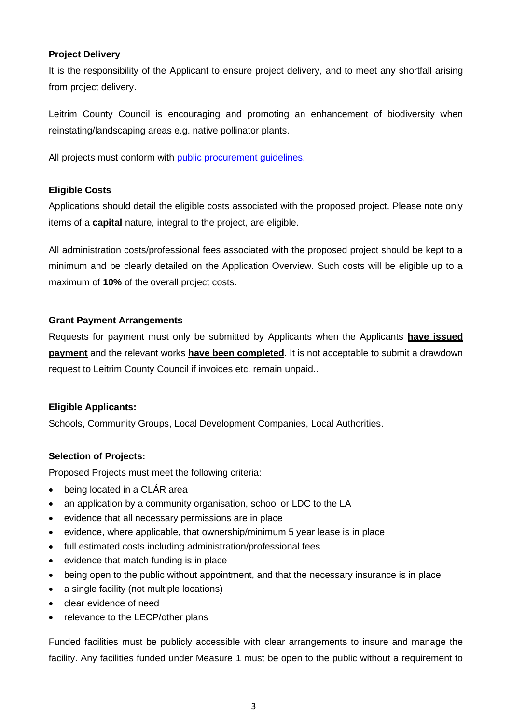#### **Project Delivery**

It is the responsibility of the Applicant to ensure project delivery, and to meet any shortfall arising from project delivery.

Leitrim County Council is encouraging and promoting an enhancement of biodiversity when reinstating/landscaping areas e.g. native pollinator plants.

All projects must conform with [public procurement guidelines.](https://ogp.gov.ie/national-public-procurement-policy-framework/)

#### **Eligible Costs**

Applications should detail the eligible costs associated with the proposed project. Please note only items of a **capital** nature, integral to the project, are eligible.

All administration costs/professional fees associated with the proposed project should be kept to a minimum and be clearly detailed on the Application Overview. Such costs will be eligible up to a maximum of **10%** of the overall project costs.

#### **Grant Payment Arrangements**

Requests for payment must only be submitted by Applicants when the Applicants **have issued payment** and the relevant works **have been completed**. It is not acceptable to submit a drawdown request to Leitrim County Council if invoices etc. remain unpaid..

#### **Eligible Applicants:**

Schools, Community Groups, Local Development Companies, Local Authorities.

#### **Selection of Projects:**

Proposed Projects must meet the following criteria:

- being located in a CLÁR area
- an application by a community organisation, school or LDC to the LA
- evidence that all necessary permissions are in place
- evidence, where applicable, that ownership/minimum 5 year lease is in place
- full estimated costs including administration/professional fees
- evidence that match funding is in place
- being open to the public without appointment, and that the necessary insurance is in place
- a single facility (not multiple locations)
- clear evidence of need
- relevance to the LECP/other plans

Funded facilities must be publicly accessible with clear arrangements to insure and manage the facility. Any facilities funded under Measure 1 must be open to the public without a requirement to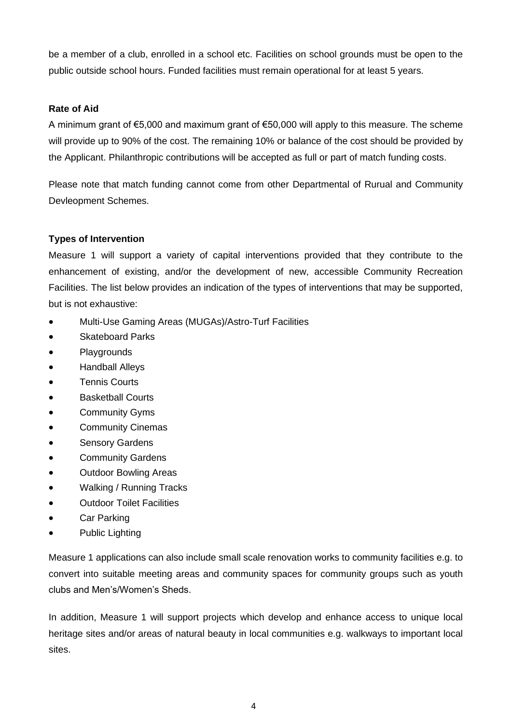be a member of a club, enrolled in a school etc. Facilities on school grounds must be open to the public outside school hours. Funded facilities must remain operational for at least 5 years.

#### **Rate of Aid**

A minimum grant of €5,000 and maximum grant of €50,000 will apply to this measure. The scheme will provide up to 90% of the cost. The remaining 10% or balance of the cost should be provided by the Applicant. Philanthropic contributions will be accepted as full or part of match funding costs.

Please note that match funding cannot come from other Departmental of Rurual and Community Devleopment Schemes.

#### **Types of Intervention**

Measure 1 will support a variety of capital interventions provided that they contribute to the enhancement of existing, and/or the development of new, accessible Community Recreation Facilities. The list below provides an indication of the types of interventions that may be supported, but is not exhaustive:

- Multi-Use Gaming Areas (MUGAs)/Astro-Turf Facilities
- Skateboard Parks
- **Playgrounds**
- Handball Alleys
- Tennis Courts
- **Basketball Courts**
- Community Gyms
- Community Cinemas
- Sensory Gardens
- **Community Gardens**
- Outdoor Bowling Areas
- Walking / Running Tracks
- Outdoor Toilet Facilities
- Car Parking
- Public Lighting

Measure 1 applications can also include small scale renovation works to community facilities e.g. to convert into suitable meeting areas and community spaces for community groups such as youth clubs and Men's/Women's Sheds.

In addition, Measure 1 will support projects which develop and enhance access to unique local heritage sites and/or areas of natural beauty in local communities e.g. walkways to important local sites.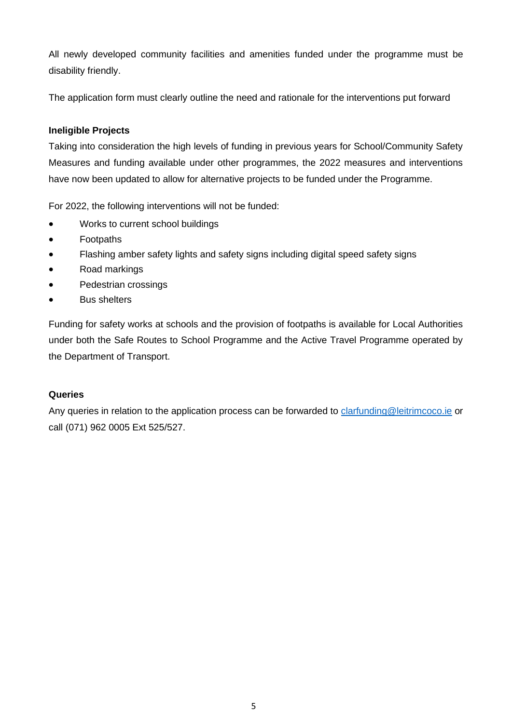All newly developed community facilities and amenities funded under the programme must be disability friendly.

The application form must clearly outline the need and rationale for the interventions put forward

## **Ineligible Projects**

Taking into consideration the high levels of funding in previous years for School/Community Safety Measures and funding available under other programmes, the 2022 measures and interventions have now been updated to allow for alternative projects to be funded under the Programme.

For 2022, the following interventions will not be funded:

- Works to current school buildings
- Footpaths
- Flashing amber safety lights and safety signs including digital speed safety signs
- Road markings
- Pedestrian crossings
- Bus shelters

Funding for safety works at schools and the provision of footpaths is available for Local Authorities under both the Safe Routes to School Programme and the Active Travel Programme operated by the Department of Transport.

#### **Queries**

Any queries in relation to the application process can be forwarded to [clarfunding@leitrimcoco.ie](mailto:clarfunding@leitrimcoco.ie) or call (071) 962 0005 Ext 525/527.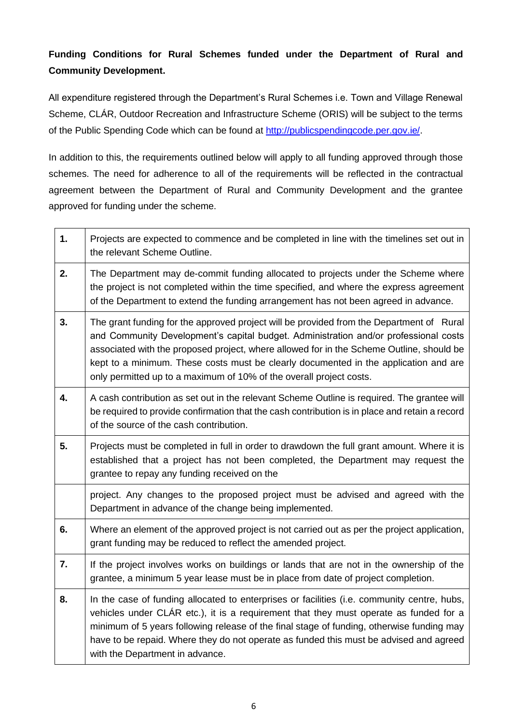# **Funding Conditions for Rural Schemes funded under the Department of Rural and Community Development.**

All expenditure registered through the Department's Rural Schemes i.e. Town and Village Renewal Scheme, CLÁR, Outdoor Recreation and Infrastructure Scheme (ORIS) will be subject to the terms of the Public Spending Code which can be found at [http://publicspendingcode.per.gov.ie/.](http://publicspendingcode.per.gov.ie/)

In addition to this, the requirements outlined below will apply to all funding approved through those schemes. The need for adherence to all of the requirements will be reflected in the contractual agreement between the Department of Rural and Community Development and the grantee approved for funding under the scheme.

| 1. | Projects are expected to commence and be completed in line with the timelines set out in<br>the relevant Scheme Outline.                                                                                                                                                                                                                                                                                                                    |
|----|---------------------------------------------------------------------------------------------------------------------------------------------------------------------------------------------------------------------------------------------------------------------------------------------------------------------------------------------------------------------------------------------------------------------------------------------|
| 2. | The Department may de-commit funding allocated to projects under the Scheme where<br>the project is not completed within the time specified, and where the express agreement<br>of the Department to extend the funding arrangement has not been agreed in advance.                                                                                                                                                                         |
| 3. | The grant funding for the approved project will be provided from the Department of Rural<br>and Community Development's capital budget. Administration and/or professional costs<br>associated with the proposed project, where allowed for in the Scheme Outline, should be<br>kept to a minimum. These costs must be clearly documented in the application and are<br>only permitted up to a maximum of 10% of the overall project costs. |
| 4. | A cash contribution as set out in the relevant Scheme Outline is required. The grantee will<br>be required to provide confirmation that the cash contribution is in place and retain a record<br>of the source of the cash contribution.                                                                                                                                                                                                    |
| 5. | Projects must be completed in full in order to drawdown the full grant amount. Where it is<br>established that a project has not been completed, the Department may request the<br>grantee to repay any funding received on the                                                                                                                                                                                                             |
|    | project. Any changes to the proposed project must be advised and agreed with the<br>Department in advance of the change being implemented.                                                                                                                                                                                                                                                                                                  |
| 6. | Where an element of the approved project is not carried out as per the project application,<br>grant funding may be reduced to reflect the amended project.                                                                                                                                                                                                                                                                                 |
| 7. | If the project involves works on buildings or lands that are not in the ownership of the<br>grantee, a minimum 5 year lease must be in place from date of project completion.                                                                                                                                                                                                                                                               |
| 8. | In the case of funding allocated to enterprises or facilities (i.e. community centre, hubs,<br>vehicles under CLÁR etc.), it is a requirement that they must operate as funded for a<br>minimum of 5 years following release of the final stage of funding, otherwise funding may<br>have to be repaid. Where they do not operate as funded this must be advised and agreed<br>with the Department in advance.                              |